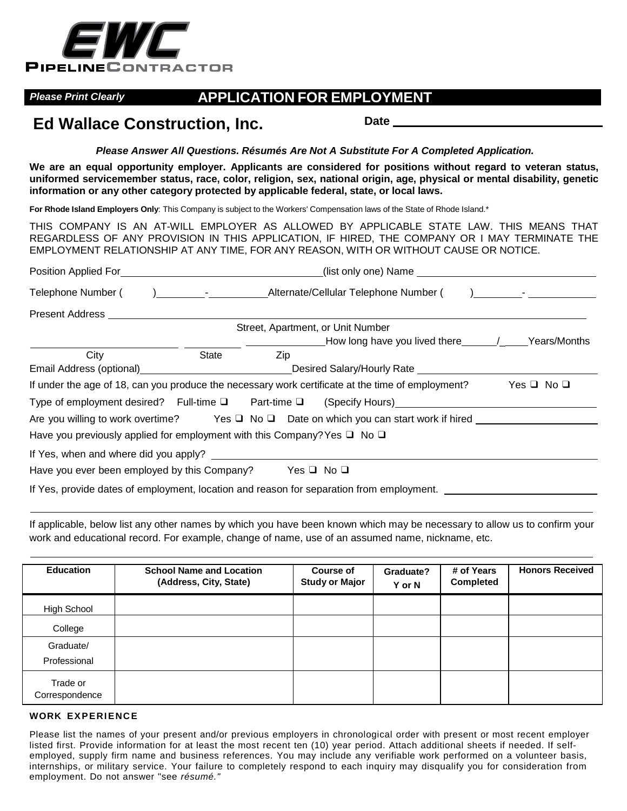

## *Please Print Clearly* **APPLICATION FOR EMPLOYMENT**

# **Ed Wallace Construction, Inc.** Date Date Date

*Please Answer All Questions. Résumés Are Not A Substitute For A Completed Application.*

**We are an equal opportunity employer. Applicants are considered for positions without regard to veteran status,** uniformed servicemember status, race, color, religion, sex, national origin, age, physical or mental disability, genetic **information or any other category protected by applicable federal, state, or local laws.**

**For Rhode Island Employers Only**: This Company is subject to the Workers' Compensation laws of the State of Rhode Island.\*

THIS COMPANY IS AN AT-WILL EMPLOYER AS ALLOWED BY APPLICABLE STATE LAW. THIS MEANS THAT REGARDLESS OF ANY PROVISION IN THIS APPLICATION, IF HIRED, THE COMPANY OR I MAY TERMINATE THE EMPLOYMENT RELATIONSHIP AT ANY TIME, FOR ANY REASON, WITH OR WITHOUT CAUSE OR NOTICE.

|                                                                                          | <b>Position Applied For Example 2018</b><br>(list only one) Name |                                                                                                                                                                                                                                                                                                  |                                                                                                   |                      |  |
|------------------------------------------------------------------------------------------|------------------------------------------------------------------|--------------------------------------------------------------------------------------------------------------------------------------------------------------------------------------------------------------------------------------------------------------------------------------------------|---------------------------------------------------------------------------------------------------|----------------------|--|
| Telephone Number (                                                                       |                                                                  | $\mathbf{I}$ and $\mathbf{I}$ and $\mathbf{I}$ and $\mathbf{I}$ and $\mathbf{I}$ and $\mathbf{I}$ and $\mathbf{I}$ and $\mathbf{I}$ and $\mathbf{I}$ and $\mathbf{I}$ and $\mathbf{I}$ and $\mathbf{I}$ and $\mathbf{I}$ and $\mathbf{I}$ and $\mathbf{I}$ and $\mathbf{I}$ and $\mathbf{I}$ and |                                                                                                   |                      |  |
| Present Address                                                                          |                                                                  |                                                                                                                                                                                                                                                                                                  |                                                                                                   |                      |  |
|                                                                                          |                                                                  |                                                                                                                                                                                                                                                                                                  | Street, Apartment, or Unit Number                                                                 |                      |  |
|                                                                                          |                                                                  |                                                                                                                                                                                                                                                                                                  |                                                                                                   |                      |  |
| City                                                                                     | State                                                            | Zip                                                                                                                                                                                                                                                                                              |                                                                                                   |                      |  |
| Email Address (optional)<br><u>Email Address (optional)</u>                              |                                                                  |                                                                                                                                                                                                                                                                                                  | Desired Salary/Hourly Rate                                                                        |                      |  |
|                                                                                          |                                                                  |                                                                                                                                                                                                                                                                                                  | If under the age of 18, can you produce the necessary work certificate at the time of employment? | Yes $\Box$ No $\Box$ |  |
|                                                                                          |                                                                  |                                                                                                                                                                                                                                                                                                  | Type of employment desired? Full-time □ Part-time □ (Specify Hours)______________                 |                      |  |
|                                                                                          |                                                                  |                                                                                                                                                                                                                                                                                                  | Are you willing to work overtime? Yes $\Box$ No $\Box$ Date on which you can start work if hired  |                      |  |
| Have you previously applied for employment with this Company? Yes $\Box$ No $\Box$       |                                                                  |                                                                                                                                                                                                                                                                                                  |                                                                                                   |                      |  |
| If Yes, when and where did you apply?                                                    |                                                                  |                                                                                                                                                                                                                                                                                                  |                                                                                                   |                      |  |
| Have you ever been employed by this Company?                                             |                                                                  |                                                                                                                                                                                                                                                                                                  | $Yes \sqcup No \sqcup$                                                                            |                      |  |
| If Yes, provide dates of employment, location and reason for separation from employment. |                                                                  |                                                                                                                                                                                                                                                                                                  |                                                                                                   |                      |  |

If applicable, below list any other names by which you have been known which may be necessary to allow us to confirm your work and educational record. For example, change of name, use of an assumed name, nickname, etc.

| <b>Education</b>           | <b>School Name and Location</b><br>(Address, City, State) | <b>Course of</b><br><b>Study or Major</b> | Graduate?<br>Y or N | # of Years<br><b>Completed</b> | <b>Honors Received</b> |
|----------------------------|-----------------------------------------------------------|-------------------------------------------|---------------------|--------------------------------|------------------------|
| High School                |                                                           |                                           |                     |                                |                        |
| College                    |                                                           |                                           |                     |                                |                        |
| Graduate/<br>Professional  |                                                           |                                           |                     |                                |                        |
| Trade or<br>Correspondence |                                                           |                                           |                     |                                |                        |

### **WORK EXPERIENCE**

Please list the names of your present and/or previous employers in chronological order with present or most recent employer listed first. Provide information for at least the most recent ten (10) year period. Attach additional sheets if needed. If selfemployed, supply firm name and business references. You may include any verifiable work performed on a volunteer basis, internships, or military service. Your failure to completely respond to each inquiry may disqualify you for consideration from employment. Do not answer "see *résumé."*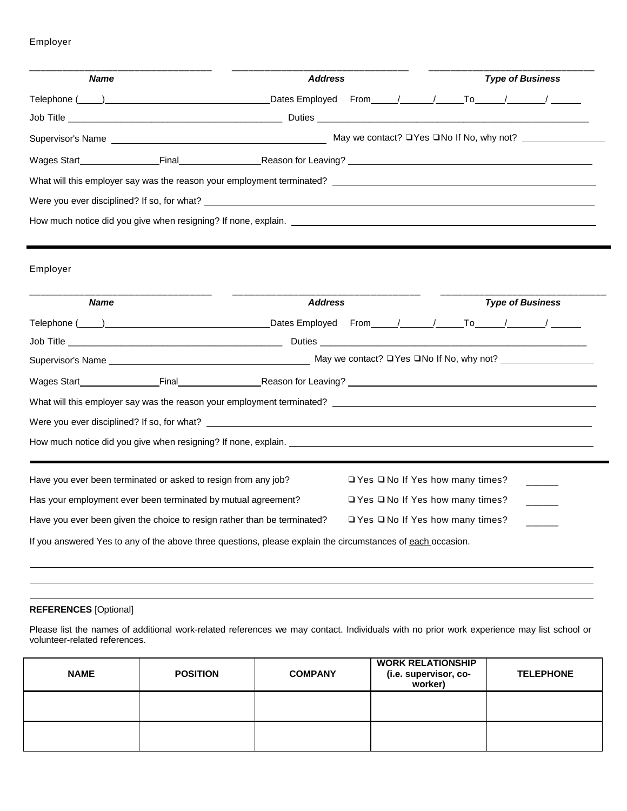### Employer

| <b>Name</b> |                                                                                                                                                                                                 | <b>Address</b> |                                                                                  |  | <b>Type of Business</b> |  |                                                      |  |
|-------------|-------------------------------------------------------------------------------------------------------------------------------------------------------------------------------------------------|----------------|----------------------------------------------------------------------------------|--|-------------------------|--|------------------------------------------------------|--|
|             |                                                                                                                                                                                                 |                |                                                                                  |  |                         |  |                                                      |  |
|             | Job Title <b>Example 2018</b> Duties <b>Duties Duties Duties Duties Duties Duties Duties Duties Duties Duties Duties Duties Duties Duties Duties Duties Duties Duties Duties Duties Duties </b> |                |                                                                                  |  |                         |  |                                                      |  |
|             |                                                                                                                                                                                                 |                |                                                                                  |  |                         |  |                                                      |  |
|             | Wages Start <b>Example 2018</b> Final <b>Example 2018</b> Reason for Leaving?                                                                                                                   |                |                                                                                  |  |                         |  |                                                      |  |
|             |                                                                                                                                                                                                 |                |                                                                                  |  |                         |  |                                                      |  |
|             |                                                                                                                                                                                                 |                |                                                                                  |  |                         |  |                                                      |  |
|             |                                                                                                                                                                                                 |                |                                                                                  |  |                         |  |                                                      |  |
|             |                                                                                                                                                                                                 |                |                                                                                  |  |                         |  |                                                      |  |
| Employer    |                                                                                                                                                                                                 |                |                                                                                  |  |                         |  |                                                      |  |
| <b>Name</b> |                                                                                                                                                                                                 | <b>Address</b> |                                                                                  |  |                         |  | <b>Type of Business</b>                              |  |
|             |                                                                                                                                                                                                 |                |                                                                                  |  |                         |  |                                                      |  |
|             |                                                                                                                                                                                                 |                |                                                                                  |  |                         |  |                                                      |  |
|             | Telephone ( ) Dates Employed From / / To / / /                                                                                                                                                  |                |                                                                                  |  |                         |  |                                                      |  |
|             |                                                                                                                                                                                                 |                |                                                                                  |  |                         |  | May we contact? $\Box$ Yes $\Box$ No If No, why not? |  |
|             | Supervisor's Name <b>Supervisor</b> Supervisor's Name                                                                                                                                           |                |                                                                                  |  |                         |  |                                                      |  |
|             |                                                                                                                                                                                                 |                |                                                                                  |  |                         |  |                                                      |  |
|             | What will this employer say was the reason your employment terminated? _____________________________                                                                                            |                |                                                                                  |  |                         |  |                                                      |  |
|             |                                                                                                                                                                                                 |                |                                                                                  |  |                         |  |                                                      |  |
|             | How much notice did you give when resigning? If none, explain.                                                                                                                                  |                |                                                                                  |  |                         |  |                                                      |  |
|             |                                                                                                                                                                                                 |                |                                                                                  |  |                         |  |                                                      |  |
|             | Have you ever been terminated or asked to resign from any job?                                                                                                                                  |                | □ Yes □ No If Yes how many times?                                                |  |                         |  |                                                      |  |
|             | Has your employment ever been terminated by mutual agreement?<br>Have you ever been given the choice to resign rather than be terminated?                                                       |                | $\Box$ Yes $\Box$ No If Yes how many times?<br>□ Yes □ No If Yes how many times? |  |                         |  |                                                      |  |

 $\blacksquare$ 

## **REFERENCES** [Optional]

Please list the names of additional work-related references we may contact. Individuals with no prior work experience may list school or volunteer-related references.

| <b>NAME</b> | <b>POSITION</b> | <b>COMPANY</b> | <b>WORK RELATIONSHIP</b><br>(i.e. supervisor, co-<br>worker) | <b>TELEPHONE</b> |
|-------------|-----------------|----------------|--------------------------------------------------------------|------------------|
|             |                 |                |                                                              |                  |
|             |                 |                |                                                              |                  |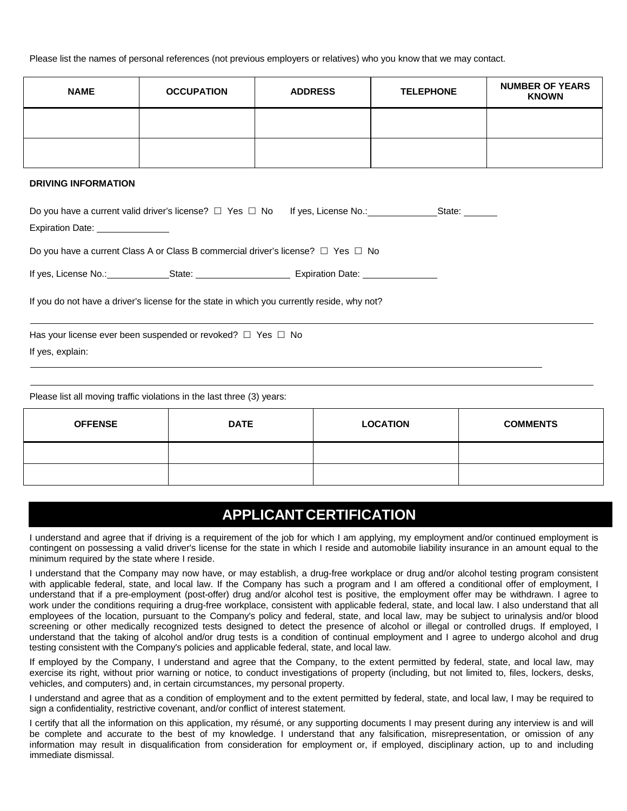Please list the names of personal references (not previous employers or relatives) who you know that we may contact.

| <b>NAME</b> | <b>OCCUPATION</b> | <b>ADDRESS</b> | <b>TELEPHONE</b> | <b>NUMBER OF YEARS</b><br><b>KNOWN</b> |
|-------------|-------------------|----------------|------------------|----------------------------------------|
|             |                   |                |                  |                                        |
|             |                   |                |                  |                                        |

#### **DRIVING INFORMATION**

|                                                                                             |                                   | State: ______ |  |  |  |  |  |
|---------------------------------------------------------------------------------------------|-----------------------------------|---------------|--|--|--|--|--|
|                                                                                             |                                   |               |  |  |  |  |  |
| Do you have a current Class A or Class B commercial driver's license? $\Box$ Yes $\Box$ No  |                                   |               |  |  |  |  |  |
| If yes, License No.: State: State:                                                          | Expiration Date: ________________ |               |  |  |  |  |  |
| If you do not have a driver's license for the state in which you currently reside, why not? |                                   |               |  |  |  |  |  |
| Has your license ever been suspended or revoked? $\Box$ Yes $\Box$ No                       |                                   |               |  |  |  |  |  |
| If yes, explain:                                                                            |                                   |               |  |  |  |  |  |

Please list all moving traffic violations in the last three (3) years:

| <b>OFFENSE</b> | <b>DATE</b> | <b>LOCATION</b> | <b>COMMENTS</b> |
|----------------|-------------|-----------------|-----------------|
|                |             |                 |                 |
|                |             |                 |                 |

## **APPLICANTCERTIFICATION**

I understand and agree that if driving is a requirement of the job for which I am applying, my employment and/or continued employment is contingent on possessing a valid driver's license for the state in which I reside and automobile liability insurance in an amount equal to the minimum required by the state where I reside.

I understand that the Company may now have, or may establish, a drug-free workplace or drug and/or alcohol testing program consistent with applicable federal, state, and local law. If the Company has such a program and I am offered a conditional offer of employment, I understand that if a pre-employment (post-offer) drug and/or alcohol test is positive, the employment offer may be withdrawn. I agree to work under the conditions requiring a drug-free workplace, consistent with applicable federal, state, and local law. I also understand that all employees of the location, pursuant to the Company's policy and federal, state, and local law, may be subject to urinalysis and/or blood screening or other medically recognized tests designed to detect the presence of alcohol or illegal or controlled drugs. If employed, I understand that the taking of alcohol and/or drug tests is a condition of continual employment and I agree to undergo alcohol and drug testing consistent with the Company's policies and applicable federal, state, and local law.

If employed by the Company, I understand and agree that the Company, to the extent permitted by federal, state, and local law, may exercise its right, without prior warning or notice, to conduct investigations of property (including, but not limited to, files, lockers, desks, vehicles, and computers) and, in certain circumstances, my personal property.

I understand and agree that as a condition of employment and to the extent permitted by federal, state, and local law, I may be required to sign a confidentiality, restrictive covenant, and/or conflict of interest statement.

I certify that all the information on this application, my résumé, or any supporting documents I may present during any interview is and will be complete and accurate to the best of my knowledge. I understand that any falsification, misrepresentation, or omission of any information may result in disqualification from consideration for employment or, if employed, disciplinary action, up to and including immediate dismissal.